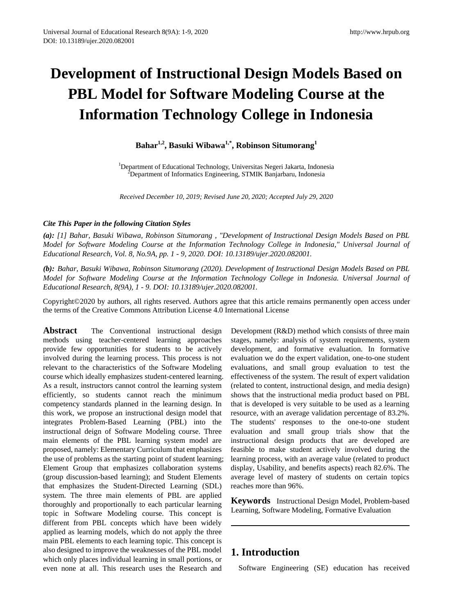# **Development of Instructional Design Models Based on PBL Model for Software Modeling Course at the Information Technology College in Indonesia**

**Bahar1,2, Basuki Wibawa1,\* , Robinson Situmorang<sup>1</sup>**

<sup>1</sup>Department of Educational Technology, Universitas Negeri Jakarta, Indonesia<br><sup>2</sup>Department of Informatics Engineering, STMIK Banjarbaru, Indonesia <sup>2</sup>Department of Informatics Engineering, STMIK Banjarbaru, Indonesia

*Received December 10, 2019; Revised June 20, 2020; Accepted July 29, 2020*

### *Cite This Paper in the following Citation Styles*

*(a): [1] Bahar, Basuki Wibawa, Robinson Situmorang , "Development of Instructional Design Models Based on PBL Model for Software Modeling Course at the Information Technology College in Indonesia," Universal Journal of Educational Research, Vol. 8, No.9A, pp. 1 - 9, 2020. DOI: 10.13189/ujer.2020.082001.* 

*(b): Bahar, Basuki Wibawa, Robinson Situmorang (2020). Development of Instructional Design Models Based on PBL Model for Software Modeling Course at the Information Technology College in Indonesia. Universal Journal of Educational Research, 8(9A), 1 - 9. DOI: 10.13189/ujer.2020.082001.* 

Copyright©2020 by authors, all rights reserved. Authors agree that this article remains permanently open access under the terms of the Creative Commons Attribution License 4.0 International License

**Abstract** The Conventional instructional design methods using teacher-centered learning approaches provide few opportunities for students to be actively involved during the learning process. This process is not relevant to the characteristics of the Software Modeling course which ideally emphasizes student-centered learning. As a result, instructors cannot control the learning system efficiently, so students cannot reach the minimum competency standards planned in the learning design. In this work, we propose an instructional design model that integrates Problem-Based Learning (PBL) into the instructional deign of Software Modeling course. Three main elements of the PBL learning system model are proposed, namely: Elementary Curriculum that emphasizes the use of problems as the starting point of student learning; Element Group that emphasizes collaboration systems (group discussion-based learning); and Student Elements that emphasizes the Student-Directed Learning (SDL) system. The three main elements of PBL are applied thoroughly and proportionally to each particular learning topic in Software Modeling course. This concept is different from PBL concepts which have been widely applied as learning models, which do not apply the three main PBL elements to each learning topic. This concept is also designed to improve the weaknesses of the PBL model which only places individual learning in small portions, or even none at all. This research uses the Research and

Development (R&D) method which consists of three main stages, namely: analysis of system requirements, system development, and formative evaluation. In formative evaluation we do the expert validation, one-to-one student evaluations, and small group evaluation to test the effectiveness of the system. The result of expert validation (related to content, instructional design, and media design) shows that the instructional media product based on PBL that is developed is very suitable to be used as a learning resource, with an average validation percentage of 83.2%. The students' responses to the one-to-one student evaluation and small group trials show that the instructional design products that are developed are feasible to make student actively involved during the learning process, with an average value (related to product display, Usability, and benefits aspects) reach 82.6%. The average level of mastery of students on certain topics reaches more than 96%.

**Keywords** Instructional Design Model, Problem-based Learning, Software Modeling, Formative Evaluation

# **1. Introduction**

Software Engineering (SE) education has received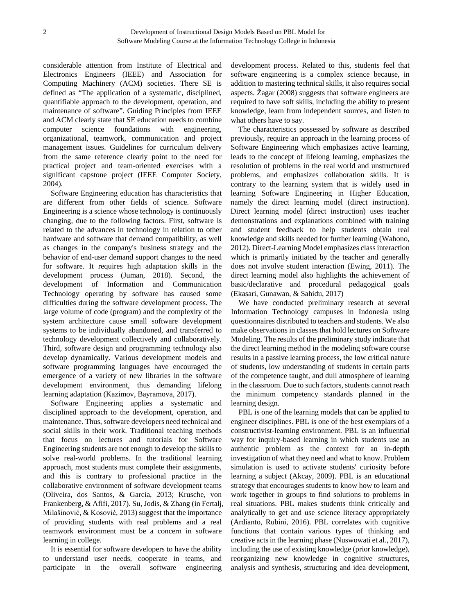considerable attention from Institute of Electrical and Electronics Engineers (IEEE) and Association for Computing Machinery (ACM) societies. There SE is defined as "The application of a systematic, disciplined, quantifiable approach to the development, operation, and maintenance of software". Guiding Principles from IEEE and ACM clearly state that SE education needs to combine computer science foundations with engineering, organizational, teamwork, communication and project management issues. Guidelines for curriculum delivery from the same reference clearly point to the need for practical project and team-oriented exercises with a significant capstone project (IEEE Computer Society, 2004).

Software Engineering education has characteristics that are different from other fields of science. Software Engineering is a science whose technology is continuously changing, due to the following factors. First, software is related to the advances in technology in relation to other hardware and software that demand compatibility, as well as changes in the company's business strategy and the behavior of end-user demand support changes to the need for software. It requires high adaptation skills in the development process (Juman, 2018). Second, the development of Information and Communication Technology operating by software has caused some difficulties during the software development process. The large volume of code (program) and the complexity of the system architecture cause small software development systems to be individually abandoned, and transferred to technology development collectively and collaboratively. Third, software design and programming technology also develop dynamically. Various development models and software programming languages have encouraged the emergence of a variety of new libraries in the software development environment, thus demanding lifelong learning adaptation (Kazimov, Bayramova, 2017).

Software Engineering applies a systematic and disciplined approach to the development, operation, and maintenance. Thus, software developers need technical and social skills in their work. Traditional teaching methods that focus on lectures and tutorials for Software Engineering students are not enough to develop the skills to solve real-world problems. In the traditional learning approach, most students must complete their assignments, and this is contrary to professional practice in the collaborative environment of software development teams (Oliveira, dos Santos, & Garcia, 2013; Krusche, von Frankenberg, & Afifi, 2017). Su, Jodis, & Zhang (in Fertalj, Milašinović, & Kosović, 2013) suggest that the importance of providing students with real problems and a real teamwork environment must be a concern in software learning in college.

It is essential for software developers to have the ability to understand user needs, cooperate in teams, and participate in the overall software engineering development process. Related to this, students feel that software engineering is a complex science because, in addition to mastering technical skills, it also requires social aspects. Žagar (2008) suggests that software engineers are required to have soft skills, including the ability to present knowledge, learn from independent sources, and listen to what others have to say.

The characteristics possessed by software as described previously, require an approach in the learning process of Software Engineering which emphasizes active learning, leads to the concept of lifelong learning, emphasizes the resolution of problems in the real world and unstructured problems, and emphasizes collaboration skills. It is contrary to the learning system that is widely used in learning Software Engineering in Higher Education, namely the direct learning model (direct instruction). Direct learning model (direct instruction) uses teacher demonstrations and explanations combined with training and student feedback to help students obtain real knowledge and skills needed for further learning (Wahono, 2012). Direct-Learning Model emphasizes class interaction which is primarily initiated by the teacher and generally does not involve student interaction (Ewing, 2011). The direct learning model also highlights the achievement of basic/declarative and procedural pedagogical goals (Ekasari, Gunawan, & Sahidu, 2017)

We have conducted preliminary research at several Information Technology campuses in Indonesia using questionnaires distributed to teachers and students. We also make observations in classes that hold lectures on Software Modeling. The results of the preliminary study indicate that the direct learning method in the modeling software course results in a passive learning process, the low critical nature of students, low understanding of students in certain parts of the competence taught, and dull atmosphere of learning in the classroom. Due to such factors, students cannot reach the minimum competency standards planned in the learning design.

PBL is one of the learning models that can be applied to engineer disciplines. PBL is one of the best exemplars of a constructivist-learning environment. PBL is an influential way for inquiry-based learning in which students use an authentic problem as the context for an in-depth investigation of what they need and what to know. Problem simulation is used to activate students' curiosity before learning a subject (Akcay, 2009). PBL is an educational strategy that encourages students to know how to learn and work together in groups to find solutions to problems in real situations. PBL makes students think critically and analytically to get and use science literacy appropriately (Ardianto, Rubini, 2016). PBL correlates with cognitive functions that contain various types of thinking and creative acts in the learning phase (Nuswowati et al., 2017), including the use of existing knowledge (prior knowledge), reorganizing new knowledge in cognitive structures, analysis and synthesis, structuring and idea development,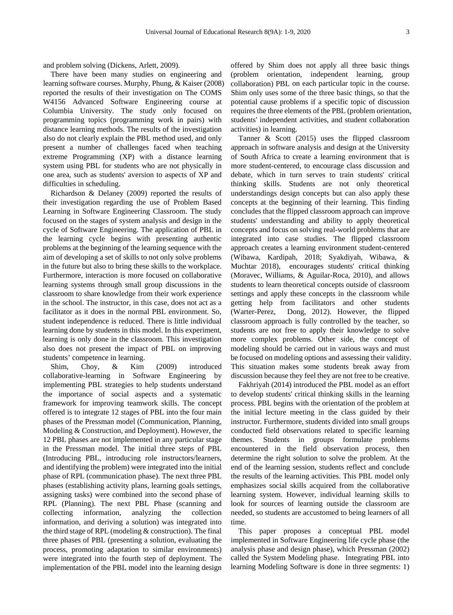and problem solving (Dickens, Arlett, 2009).

There have been many studies on engineering and learning software courses. Murphy, Phung, & Kaiser (2008) reported the results of their investigation on The COMS W4156 Advanced Software Engineering course at Columbia University. The study only focused on programming topics (programming work in pairs) with distance learning methods. The results of the investigation also do not clearly explain the PBL method used, and only present a number of challenges faced when teaching extreme Programming (XP) with a distance learning system using PBL for students who are not physically in one area, such as students' aversion to aspects of XP and difficulties in scheduling.

Richardson & Delaney (2009) reported the results of their investigation regarding the use of Problem Based Learning in Software Engineering Classroom. The study focused on the stages of system analysis and design in the cycle of Software Engineering. The application of PBL in the learning cycle begins with presenting authentic problems at the beginning of the learning sequence with the aim of developing a set of skills to not only solve problems in the future but also to bring these skills to the workplace. Furthermore, interaction is more focused on collaborative learning systems through small group discussions in the classroom to share knowledge from their work experience in the school. The instructor, in this case, does not act as a facilitator as it does in the normal PBL environment. So, student independence is reduced. There is little individual learning done by students in this model. In this experiment, learning is only done in the classroom. This investigation also does not present the impact of PBL on improving students' competence in learning.

Shim, Choy, & Kim (2009) introduced collaborative-learning in Software Engineering by implementing PBL strategies to help students understand the importance of social aspects and a systematic framework for improving teamwork skills. The concept offered is to integrate 12 stages of PBL into the four main phases of the Pressman model (Communication, Planning, Modeling & Construction, and Deployment). However, the 12 PBL phases are not implemented in any particular stage in the Pressman model. The initial three steps of PBL (Introducing PBL, introducing role instructors/learners, and identifying the problem) were integrated into the initial phase of RPL (communication phase). The next three PBL phases (establishing activity plans, learning goals settings, assigning tasks) were combined into the second phase of RPL (Planning). The next PBL Phase (scanning and collecting information, analyzing the collection information, and deriving a solution) was integrated into the third stage of RPL (modeling & construction). The final three phases of PBL (presenting a solution, evaluating the process, promoting adaptation to similar environments) were integrated into the fourth step of deployment. The implementation of the PBL model into the learning design

offered by Shim does not apply all three basic things (problem orientation, independent learning, group collaboration) PBL on each particular topic in the course. Shim only uses some of the three basic things, so that the potential cause problems if a specific topic of discussion requires the three elements of the PBL (problem orientation, students' independent activities, and student collaboration activities) in learning.

Tanner & Scott (2015) uses the flipped classroom approach in software analysis and design at the University of South Africa to create a learning environment that is more student-centered, to encourage class discussion and debate, which in turn serves to train students' critical thinking skills. Students are not only theoretical understandings design concepts but can also apply these concepts at the beginning of their learning. This finding concludes that the flipped classroom approach can improve students' understanding and ability to apply theoretical concepts and focus on solving real-world problems that are integrated into case studies. The flipped classroom approach creates a learning environment student-centered (Wibawa, Kardipah, 2018; Syakdiyah, Wibawa, & Muchtar 2018), encourages students' critical thinking (Moravec, Williams, & Aguilar-Roca, 2010), and allows students to learn theoretical concepts outside of classroom settings and apply these concepts in the classroom while getting help from facilitators and other students (Warter-Perez, Dong, 2012). However, the flipped classroom approach is fully controlled by the teacher, so students are not free to apply their knowledge to solve more complex problems. Other side, the concept of modeling should be carried out in various ways and must be focused on modeling options and assessing their validity. This situation makes some students break away from discussion because they feel they are not free to be creative.

Fakhriyah (2014) introduced the PBL model as an effort to develop students' critical thinking skills in the learning process. PBL begins with the orientation of the problem at the initial lecture meeting in the class guided by their instructor. Furthermore, students divided into small groups conducted field observations related to specific learning themes. Students in groups formulate problems encountered in the field observation process, then determine the right solution to solve the problem. At the end of the learning session, students reflect and conclude the results of the learning activities. This PBL model only emphasizes social skills acquired from the collaborative learning system. However, individual learning skills to look for sources of learning outside the classroom are needed, so students are accustomed to being learners of all time.

This paper proposes a conceptual PBL model implemented in Software Engineering life cycle phase (the analysis phase and design phase), which Pressman (2002) called the System Modeling phase. Integrating PBL into learning Modeling Software is done in three segments: 1)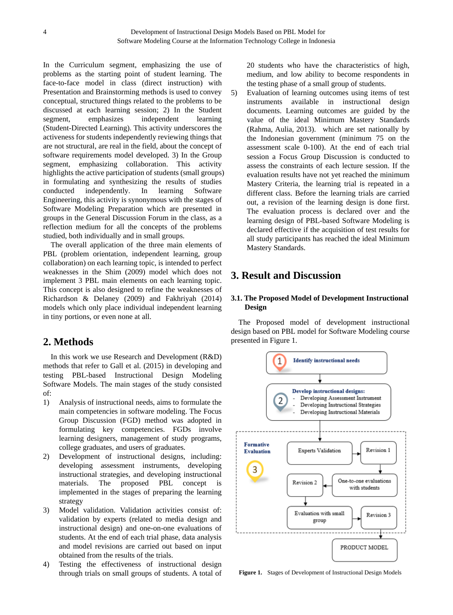In the Curriculum segment, emphasizing the use of problems as the starting point of student learning. The face-to-face model in class (direct instruction) with Presentation and Brainstorming methods is used to convey conceptual, structured things related to the problems to be discussed at each learning session; 2) In the Student segment, emphasizes independent learning (Student-Directed Learning). This activity underscores the activeness for students independently reviewing things that are not structural, are real in the field, about the concept of software requirements model developed. 3) In the Group segment, emphasizing collaboration. This activity highlights the active participation of students (small groups) in formulating and synthesizing the results of studies conducted independently. In learning Software Engineering, this activity is synonymous with the stages of Software Modeling Preparation which are presented in groups in the General Discussion Forum in the class, as a reflection medium for all the concepts of the problems studied, both individually and in small groups.

The overall application of the three main elements of PBL (problem orientation, independent learning, group collaboration) on each learning topic, is intended to perfect weaknesses in the Shim (2009) model which does not implement 3 PBL main elements on each learning topic. This concept is also designed to refine the weaknesses of Richardson & Delaney (2009) and Fakhriyah (2014) models which only place individual independent learning in tiny portions, or even none at all.

## **2. Methods**

In this work we use Research and Development (R&D) methods that refer to Gall et al. (2015) in developing and testing PBL-based Instructional Design Modeling Software Models. The main stages of the study consisted of:

- 1) Analysis of instructional needs, aims to formulate the main competencies in software modeling. The Focus Group Discussion (FGD) method was adopted in formulating key competencies. FGDs involve learning designers, management of study programs, college graduates, and users of graduates.
- 2) Development of instructional designs, including: developing assessment instruments, developing instructional strategies, and developing instructional materials. The proposed PBL concept is implemented in the stages of preparing the learning strategy
- 3) Model validation. Validation activities consist of: validation by experts (related to media design and instructional design) and one-on-one evaluations of students. At the end of each trial phase, data analysis and model revisions are carried out based on input obtained from the results of the trials.
- 4) Testing the effectiveness of instructional design through trials on small groups of students. A total of

20 students who have the characteristics of high, medium, and low ability to become respondents in the testing phase of a small group of students.

5) Evaluation of learning outcomes using items of test instruments available in instructional design documents. Learning outcomes are guided by the value of the ideal Minimum Mastery Standards (Rahma, Aulia, 2013). which are set nationally by the Indonesian government (minimum 75 on the assessment scale 0-100). At the end of each trial session a Focus Group Discussion is conducted to assess the constraints of each lecture session. If the evaluation results have not yet reached the minimum Mastery Criteria, the learning trial is repeated in a different class. Before the learning trials are carried out, a revision of the learning design is done first. The evaluation process is declared over and the learning design of PBL-based Software Modeling is declared effective if the acquisition of test results for all study participants has reached the ideal Minimum Mastery Standards.

# **3. Result and Discussion**

## **3.1. The Proposed Model of Development Instructional Design**

The Proposed model of development instructional design based on PBL model for Software Modeling course presented in Figure 1.



**Figure 1.** Stages of Development of Instructional Design Models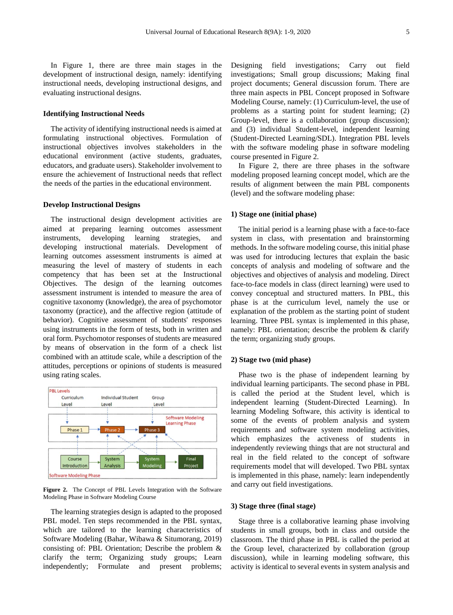In Figure 1, there are three main stages in the development of instructional design, namely: identifying instructional needs, developing instructional designs, and evaluating instructional designs.

#### **Identifying Instructional Needs**

The activity of identifying instructional needs is aimed at formulating instructional objectives. Formulation of instructional objectives involves stakeholders in the educational environment (active students, graduates, educators, and graduate users). Stakeholder involvement to ensure the achievement of Instructional needs that reflect the needs of the parties in the educational environment.

#### **Develop Instructional Designs**

The instructional design development activities are aimed at preparing learning outcomes assessment instruments, developing learning strategies, and developing instructional materials. Development of learning outcomes assessment instruments is aimed at measuring the level of mastery of students in each competency that has been set at the Instructional Objectives. The design of the learning outcomes assessment instrument is intended to measure the area of cognitive taxonomy (knowledge), the area of psychomotor taxonomy (practice), and the affective region (attitude of behavior). Cognitive assessment of students' responses using instruments in the form of tests, both in written and oral form. Psychomotor responses of students are measured by means of observation in the form of a check list combined with an attitude scale, while a description of the attitudes, perceptions or opinions of students is measured using rating scales.



**Figure 2.** The Concept of PBL Levels Integration with the Software Modeling Phase in Software Modeling Course

The learning strategies design is adapted to the proposed PBL model. Ten steps recommended in the PBL syntax, which are tailored to the learning characteristics of Software Modeling (Bahar, Wibawa & Situmorang, 2019) consisting of: PBL Orientation; Describe the problem & clarify the term; Organizing study groups; Learn independently; Formulate and present problems;

Designing field investigations; Carry out field investigations; Small group discussions; Making final project documents; General discussion forum. There are three main aspects in PBL Concept proposed in Software Modeling Course, namely: (1) Curriculum-level, the use of problems as a starting point for student learning; (2) Group-level, there is a collaboration (group discussion); and (3) individual Student-level, independent learning (Student-Directed Learning/SDL). Integration PBL levels with the software modeling phase in software modeling course presented in Figure 2.

In Figure 2, there are three phases in the software modeling proposed learning concept model, which are the results of alignment between the main PBL components (level) and the software modeling phase:

#### **1) Stage one (initial phase)**

The initial period is a learning phase with a face-to-face system in class, with presentation and brainstorming methods. In the software modeling course, this initial phase was used for introducing lectures that explain the basic concepts of analysis and modeling of software and the objectives and objectives of analysis and modeling. Direct face-to-face models in class (direct learning) were used to convey conceptual and structured matters. In PBL, this phase is at the curriculum level, namely the use or explanation of the problem as the starting point of student learning. Three PBL syntax is implemented in this phase, namely: PBL orientation; describe the problem & clarify the term; organizing study groups.

#### **2) Stage two (mid phase)**

Phase two is the phase of independent learning by individual learning participants. The second phase in PBL is called the period at the Student level, which is independent learning (Student-Directed Learning). In learning Modeling Software, this activity is identical to some of the events of problem analysis and system requirements and software system modeling activities, which emphasizes the activeness of students in independently reviewing things that are not structural and real in the field related to the concept of software requirements model that will developed. Two PBL syntax is implemented in this phase, namely: learn independently and carry out field investigations.

#### **3) Stage three (final stage)**

Stage three is a collaborative learning phase involving students in small groups, both in class and outside the classroom. The third phase in PBL is called the period at the Group level, characterized by collaboration (group discussion), while in learning modeling software, this activity is identical to several events in system analysis and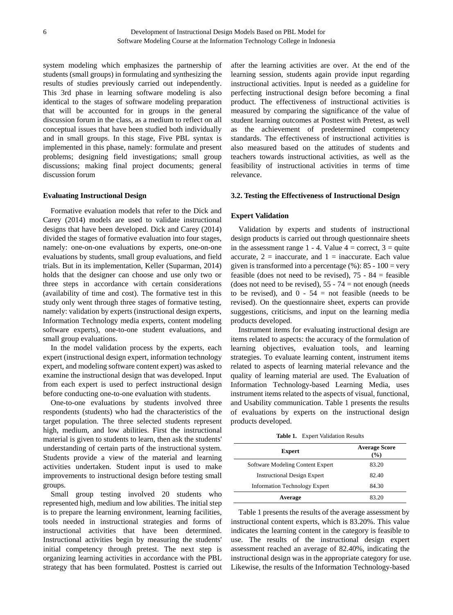system modeling which emphasizes the partnership of students (small groups) in formulating and synthesizing the results of studies previously carried out independently. This 3rd phase in learning software modeling is also identical to the stages of software modeling preparation that will be accounted for in groups in the general discussion forum in the class, as a medium to reflect on all conceptual issues that have been studied both individually and in small groups. In this stage, Five PBL syntax is implemented in this phase, namely: formulate and present problems; designing field investigations; small group discussions; making final project documents; general discussion forum

#### **Evaluating Instructional Design**

Formative evaluation models that refer to the Dick and Carey (2014) models are used to validate instructional designs that have been developed. Dick and Carey (2014) divided the stages of formative evaluation into four stages, namely: one-on-one evaluations by experts, one-on-one evaluations by students, small group evaluations, and field trials. But in its implementation, Keller (Suparman, 2014) holds that the designer can choose and use only two or three steps in accordance with certain considerations (availability of time and cost). The formative test in this study only went through three stages of formative testing, namely: validation by experts (instructional design experts, Information Technology media experts, content modeling software experts), one-to-one student evaluations, and small group evaluations.

In the model validation process by the experts, each expert (instructional design expert, information technology expert, and modeling software content expert) was asked to examine the instructional design that was developed. Input from each expert is used to perfect instructional design before conducting one-to-one evaluation with students.

One-to-one evaluations by students involved three respondents (students) who had the characteristics of the target population. The three selected students represent high, medium, and low abilities. First the instructional material is given to students to learn, then ask the students' understanding of certain parts of the instructional system. Students provide a view of the material and learning activities undertaken. Student input is used to make improvements to instructional design before testing small groups.

Small group testing involved 20 students who represented high, medium and low abilities. The initial step is to prepare the learning environment, learning facilities, tools needed in instructional strategies and forms of instructional activities that have been determined. Instructional activities begin by measuring the students' initial competency through pretest. The next step is organizing learning activities in accordance with the PBL strategy that has been formulated. Posttest is carried out

after the learning activities are over. At the end of the learning session, students again provide input regarding instructional activities. Input is needed as a guideline for perfecting instructional design before becoming a final product. The effectiveness of instructional activities is measured by comparing the significance of the value of student learning outcomes at Posttest with Pretest, as well as the achievement of predetermined competency standards. The effectiveness of instructional activities is also measured based on the attitudes of students and teachers towards instructional activities, as well as the feasibility of instructional activities in terms of time relevance.

#### **3.2. Testing the Effectiveness of Instructional Design**

#### **Expert Validation**

Validation by experts and students of instructional design products is carried out through questionnaire sheets in the assessment range 1 - 4. Value  $4 =$  correct,  $3 =$  quite accurate,  $2 = \text{inaccurate}$ , and  $1 = \text{inaccurate}$ . Each value given is transformed into a percentage  $(\%): 85 - 100 = \text{very}$ feasible (does not need to be revised),  $75 - 84 =$  feasible (does not need to be revised),  $55 - 74 =$  not enough (needs to be revised), and  $0 - 54 =$  not feasible (needs to be revised). On the questionnaire sheet, experts can provide suggestions, criticisms, and input on the learning media products developed.

Instrument items for evaluating instructional design are items related to aspects: the accuracy of the formulation of learning objectives, evaluation tools, and learning strategies. To evaluate learning content, instrument items related to aspects of learning material relevance and the quality of learning material are used. The Evaluation of Information Technology-based Learning Media, uses instrument items related to the aspects of visual, functional, and Usability communication. Table 1 presents the results of evaluations by experts on the instructional design products developed.

**Table 1.** Expert Validation Results

| <b>Expert</b>                        | <b>Average Score</b><br>$($ %) |
|--------------------------------------|--------------------------------|
| Software Modeling Content Expert     | 83.20                          |
| <b>Instructional Design Expert</b>   | 82.40                          |
| <b>Information Technology Expert</b> | 84.30                          |
| Average                              | 83.20                          |

Table 1 presents the results of the average assessment by instructional content experts, which is 83.20%. This value indicates the learning content in the category is feasible to use. The results of the instructional design expert assessment reached an average of 82.40%, indicating the instructional design was in the appropriate category for use. Likewise, the results of the Information Technology-based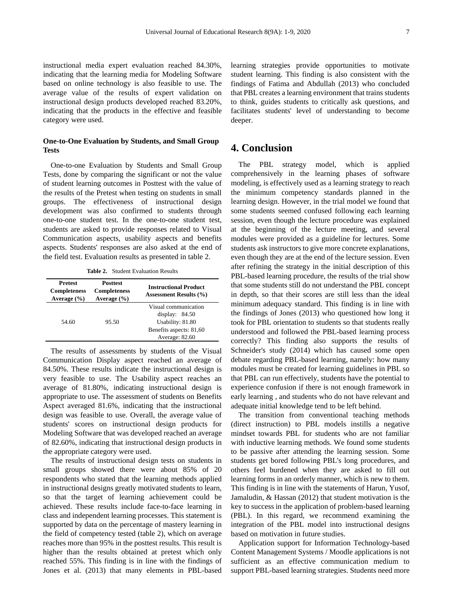instructional media expert evaluation reached 84.30%, indicating that the learning media for Modeling Software based on online technology is also feasible to use. The average value of the results of expert validation on instructional design products developed reached 83.20%, indicating that the products in the effective and feasible category were used.

## **One-to-One Evaluation by Students, and Small Group Tests**

One-to-one Evaluation by Students and Small Group Tests, done by comparing the significant or not the value of student learning outcomes in Posttest with the value of the results of the Pretest when testing on students in small groups. The effectiveness of instructional design development was also confirmed to students through one-to-one student test. In the one-to-one student test, students are asked to provide responses related to Visual Communication aspects, usability aspects and benefits aspects. Students' responses are also asked at the end of the field test. Evaluation results as presented in table 2.

**Table 2.** Student Evaluation Results

| <b>Pretest</b><br><b>Completeness</b><br>Average $(\% )$ | <b>Posttest</b><br><b>Completeness</b><br>Average $(\% )$ | <b>Instructional Product</b><br><b>Assessment Results (%)</b>                                             |
|----------------------------------------------------------|-----------------------------------------------------------|-----------------------------------------------------------------------------------------------------------|
| 54.60                                                    | 95.50                                                     | Visual communication<br>display: $84.50$<br>Usability: 81.80<br>Benefits aspects: 81,60<br>Average: 82.60 |

The results of assessments by students of the Visual Communication Display aspect reached an average of 84.50%. These results indicate the instructional design is very feasible to use. The Usability aspect reaches an average of 81.80%, indicating instructional design is appropriate to use. The assessment of students on Benefits Aspect averaged 81.6%, indicating that the instructional design was feasible to use. Overall, the average value of students' scores on instructional design products for Modeling Software that was developed reached an average of 82.60%, indicating that instructional design products in the appropriate category were used.

The results of instructional design tests on students in small groups showed there were about 85% of 20 respondents who stated that the learning methods applied in instructional designs greatly motivated students to learn, so that the target of learning achievement could be achieved. These results include face-to-face learning in class and independent learning processes. This statement is supported by data on the percentage of mastery learning in the field of competency tested (table 2), which on average reaches more than 95% in the posttest results. This result is higher than the results obtained at pretest which only reached 55%. This finding is in line with the findings of Jones et al. (2013) that many elements in PBL-based

learning strategies provide opportunities to motivate student learning. This finding is also consistent with the findings of Fatima and Abdullah (2013) who concluded that PBL creates a learning environment that trains students to think, guides students to critically ask questions, and facilitates students' level of understanding to become deeper.

## **4. Conclusion**

The PBL strategy model, which is applied comprehensively in the learning phases of software modeling, is effectively used as a learning strategy to reach the minimum competency standards planned in the learning design. However, in the trial model we found that some students seemed confused following each learning session, even though the lecture procedure was explained at the beginning of the lecture meeting, and several modules were provided as a guideline for lectures. Some students ask instructors to give more concrete explanations, even though they are at the end of the lecture session. Even after refining the strategy in the initial description of this PBL-based learning procedure, the results of the trial show that some students still do not understand the PBL concept in depth, so that their scores are still less than the ideal minimum adequacy standard. This finding is in line with the findings of Jones (2013) who questioned how long it took for PBL orientation to students so that students really understood and followed the PBL-based learning process correctly? This finding also supports the results of Schneider's study (2014) which has caused some open debate regarding PBL-based learning, namely: how many modules must be created for learning guidelines in PBL so that PBL can run effectively, students have the potential to experience confusion if there is not enough framework in early learning , and students who do not have relevant and adequate initial knowledge tend to be left behind.

The transition from conventional teaching methods (direct instruction) to PBL models instills a negative mindset towards PBL for students who are not familiar with inductive learning methods. We found some students to be passive after attending the learning session. Some students get bored following PBL's long procedures, and others feel burdened when they are asked to fill out learning forms in an orderly manner, which is new to them. This finding is in line with the statements of Harun, Yusof, Jamaludin, & Hassan (2012) that student motivation is the key to success in the application of problem-based learning (PBL). In this regard, we recommend examining the integration of the PBL model into instructional designs based on motivation in future studies.

Application support for Information Technology-based Content Management Systems / Moodle applications is not sufficient as an effective communication medium to support PBL-based learning strategies. Students need more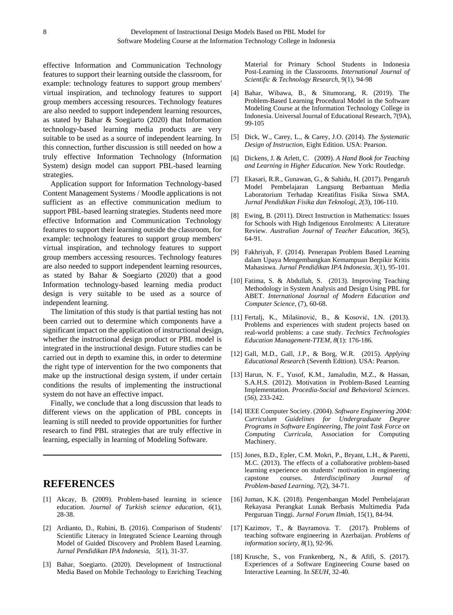effective Information and Communication Technology features to support their learning outside the classroom, for example: technology features to support group members' virtual inspiration, and technology features to support group members accessing resources. Technology features are also needed to support independent learning resources, as stated by Bahar & Soegiarto (2020) that Information technology-based learning media products are very suitable to be used as a source of independent learning. In this connection, further discussion is still needed on how a truly effective Information Technology (Information System) design model can support PBL-based learning strategies.

Application support for Information Technology-based Content Management Systems / Moodle applications is not sufficient as an effective communication medium to support PBL-based learning strategies. Students need more effective Information and Communication Technology features to support their learning outside the classroom, for example: technology features to support group members' virtual inspiration, and technology features to support group members accessing resources. Technology features are also needed to support independent learning resources, as stated by Bahar & Soegiarto (2020) that a good Information technology-based learning media product design is very suitable to be used as a source of independent learning.

The limitation of this study is that partial testing has not been carried out to determine which components have a significant impact on the application of instructional design, whether the instructional design product or PBL model is integrated in the instructional design. Future studies can be carried out in depth to examine this, in order to determine the right type of intervention for the two components that make up the instructional design system, if under certain conditions the results of implementing the instructional system do not have an effective impact.

Finally, we conclude that a long discussion that leads to different views on the application of PBL concepts in learning is still needed to provide opportunities for further research to find PBL strategies that are truly effective in learning, especially in learning of Modeling Software.

# **REFERENCES**

- [1] Akcay, B. (2009). Problem-based learning in science education. *Journal of Turkish science education*, *6*(1), 28-38.
- [2] Ardianto, D., Rubini, B. (2016). Comparison of Students' Scientific Literacy in Integrated Science Learning through Model of Guided Discovery and Problem Based Learning. *Jurnal Pendidikan IPA Indonesia*, *5*(1), 31-37.
- [3] Bahar, Soegiarto. (2020). Development of Instructional Media Based on Mobile Technology to Enriching Teaching

Material for Primary School Students in Indonesia Post-Learning in the Classrooms. *International Journal of Scientific & Technology Research*, 9(1), 94-98

- [4] Bahar, Wibawa, B., & Situmorang, R. (2019). The Problem-Based Learning Procedural Model in the Software Modeling Course at the Information Technology College in Indonesia. Universal Journal of Educational Research, 7(9A), 99-105
- [5] Dick, W., Carey, L., & Carey, J.O. (2014). *The Systematic Design of Instruction*, Eight Edition. USA: Pearson.
- [6] Dickens, J. & Arlett, C. (2009). *A Hand Book for Teaching and Learning in Higher Education*. New York: Routledge.
- [7] Ekasari, R.R., Gunawan, G., & Sahidu, H. (2017). Pengaruh Model Pembelajaran Langsung Berbantuan Media Laboratorium Terhadap Kreatifitas Fisika Siswa SMA. *Jurnal Pendidikan Fisika dan Teknologi*, *2*(3), 106-110.
- [8] Ewing, B*.* (2011). Direct Instruction in Mathematics: Issues for Schools with High Indigenous Enrolments: A Literature Review. *Australian Journal of Teacher Education*, 36(5), 64-91.
- [9] Fakhriyah, F. (2014). Penerapan Problem Based Learning dalam Upaya Mengembangkan Kemampuan Berpikir Kritis Mahasiswa. *Jurnal Pendidikan IPA Indonesia*, *3*(1), 95-101.
- [10] Fatima, S. & Abdullah, S. (2013). Improving Teaching Methodology in System Analysis and Design Using PBL for ABET. *International Journal of Modern Education and Computer Science*, (7), 60-68.
- [11] Fertalj, K., Milašinović, B., & Kosović, I.N. (2013). Problems and experiences with student projects based on real-world problems: a case study. *Technics Technologies Education Management-TTEM*, *8*(1): 176-186.
- [12] Gall, M.D., Gall, J.P., & Borg, W.R. (2015). *Applying Educational Research* (Seventh Edition). USA: Pearson.
- [13] Harun, N. F., Yusof, K.M., Jamaludin, M.Z., & Hassan, S.A.H.S. (2012). Motivation in Problem-Based Learning Implementation. *Procedia-Social and Behavioral Sciences*. (*56)*, 233-242.
- [14] IEEE Computer Society. (2004). *Software Engineering 2004: Curriculum Guidelines for Undergraduate Degree Programs in Software Engineering, The joint Task Force on Computing Curricula*, Association for Computing Machinery.
- [15] Jones, B.D., Epler, C.M. Mokri, P., Bryant, L.H., & Paretti, M.C. (2013). The effects of a collaborative problem-based learning experience on students' motivation in engineering capstone courses. *Interdisciplinary Journal of Problem-based Learning*, *7*(2), 34-71.
- [16] Juman, K.K. (2018). Pengembangan Model Pembelajaran Rekayasa Perangkat Lunak Berbasis Multimedia Pada Perguruan Tinggi. *Jurnal Forum Ilmiah,* 15(1), 84-94.
- [17] Kazimov, T., & Bayramova. T. (2017). Problems of teaching software engineering in Azerbaijan. *Problems of information society*, *8*(1), 92-96.
- [18] Krusche, S., von Frankenberg, N., & Afifi, S. (2017). Experiences of a Software Engineering Course based on Interactive Learning. In *SEUH*, 32-40.